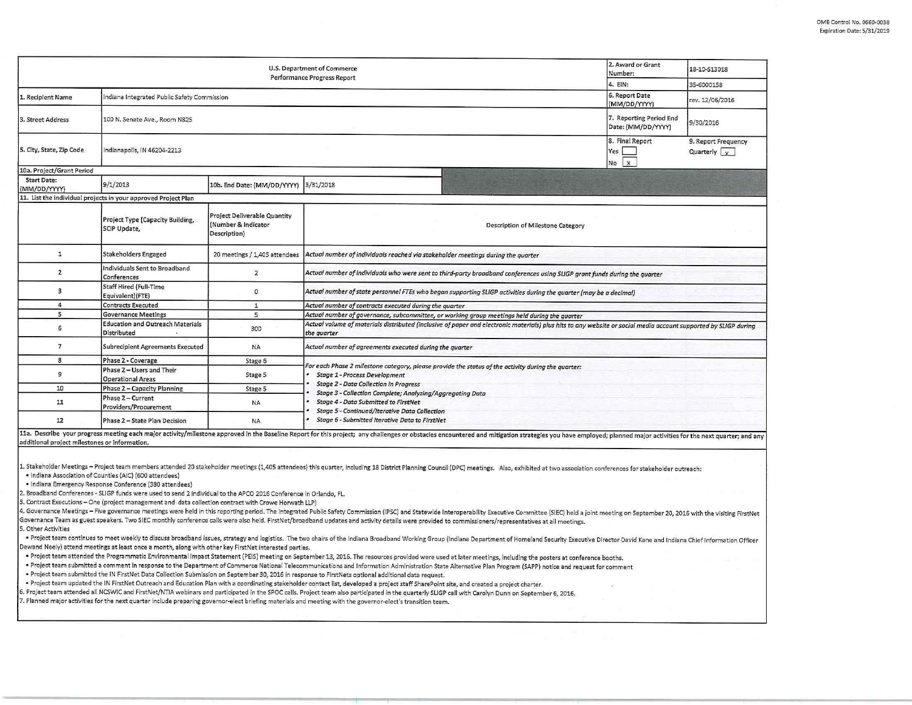| U.S. Department of Commerce<br>Performance Progress Report |                                                                |                                                                     |                                                                                                                                                                                                      |                                                | 18-10-S13018                                |  |  |  |
|------------------------------------------------------------|----------------------------------------------------------------|---------------------------------------------------------------------|------------------------------------------------------------------------------------------------------------------------------------------------------------------------------------------------------|------------------------------------------------|---------------------------------------------|--|--|--|
|                                                            |                                                                |                                                                     |                                                                                                                                                                                                      | 4. EIN:                                        | 35-6000158                                  |  |  |  |
| 1. Recipient Name                                          | Indiana Integrated Public Safety Commission                    |                                                                     |                                                                                                                                                                                                      | 6. Report Date<br>(MM/DD/YYYY)                 | rev. 12/06/2016                             |  |  |  |
| 3. Street Address                                          | 100 N. Senate Ave., Room N825                                  |                                                                     |                                                                                                                                                                                                      | 7. Reporting Period End<br>Date: (MM/DD/YYYY)  | 9/30/2016                                   |  |  |  |
| 5. City, State, Zip Code                                   | Indianapolis, IN 46204-2213                                    |                                                                     |                                                                                                                                                                                                      | 8. Final Report<br>Yes  <br>$\mathbf{x}$<br>No | 9. Report Frequency<br>Quarterly $\sqrt{x}$ |  |  |  |
| 10a. Project/Grant Period                                  |                                                                |                                                                     |                                                                                                                                                                                                      |                                                |                                             |  |  |  |
| <b>Start Date:</b><br>MM/DD/YYYY)                          | 9/1/2013                                                       | 10b. End Date: (MM/DD/YYYY)                                         | 3/31/2018                                                                                                                                                                                            |                                                |                                             |  |  |  |
|                                                            | 11. List the individual projects in your approved Project Plan |                                                                     |                                                                                                                                                                                                      |                                                |                                             |  |  |  |
|                                                            | Project Type (Capacity Building,<br>SCIP Update,               | Project Deliverable Quantity<br>(Number & Indicator<br>Description) | Description of Milestone Category                                                                                                                                                                    |                                                |                                             |  |  |  |
| ${\tt 1}$                                                  | <b>Stakeholders Engaged</b>                                    | 20 meetings / 1,405 attendees                                       | Actual number of individuals reached via stakeholder meetings during the quarter                                                                                                                     |                                                |                                             |  |  |  |
| $\mathbf{z}$                                               | Individuals Sent to Broadband<br>Conferences                   | $\overline{2}$                                                      | Actual number of individuals who were sent to third-party broadband conferences using SLIGP grant funds during the quarter                                                                           |                                                |                                             |  |  |  |
| 3                                                          | Staff Hired (Full-Time<br>Equivalent)(FTE)                     | 0                                                                   | Actual number of state personnel FTEs who began supporting SLIGP activities during the quarter (may be a decimal)                                                                                    |                                                |                                             |  |  |  |
| 4                                                          | <b>Contracts Executed</b>                                      | $\mathbf{1}$                                                        | Actual number of contracts executed during the quarter                                                                                                                                               |                                                |                                             |  |  |  |
| 5                                                          | <b>Governance Meetings</b>                                     | 5                                                                   | Actual number of governance, subcommittee, or working group meetings held during the quarter                                                                                                         |                                                |                                             |  |  |  |
| 6                                                          | <b>Education and Outreach Materials</b><br>Distributed         | 300                                                                 | Actual volume of materials distributed (inclusive of paper and electronic materials) plus hits to any website or social media account supported by SLIGP during<br>the quarter                       |                                                |                                             |  |  |  |
| $\overline{7}$                                             | <b>Subrecipient Agreements Executed</b>                        | <b>NA</b>                                                           | Actual number of agreements executed during the quarter                                                                                                                                              |                                                |                                             |  |  |  |
| 8                                                          | Phase 2 - Coverage                                             | Stage 6                                                             |                                                                                                                                                                                                      |                                                |                                             |  |  |  |
| 9                                                          | Phase 2 - Users and Their<br><b>Operational Areas</b>          | Stage 5                                                             | For each Phase 2 milestone category, please provide the status of the activity during the quarter:<br><b>Stage 1 - Process Development</b><br><b>Stage 2 - Data Collection in Progress</b>           |                                                |                                             |  |  |  |
| 10                                                         | Phase 2 - Capacity Planning                                    | Stage 5                                                             |                                                                                                                                                                                                      |                                                |                                             |  |  |  |
| 11                                                         | Phase 2 - Current<br>Providers/Procurement                     | <b>NA</b>                                                           | Stage 3 - Collection Complete; Analyzing/Aggregating Data<br>Stage 4 - Data Submitted to FirstNet<br>Stage 5 - Continued/Iterative Data Collection<br>Stage 6 - Submitted Iterative Data to FirstNet |                                                |                                             |  |  |  |
| 12<br>dia Describe                                         | Phase 2 - State Plan Decision                                  | NA.                                                                 |                                                                                                                                                                                                      |                                                |                                             |  |  |  |

11a. Describe your progress meeting each major activity/milestone approved in the Baseline Report for this project; any challenges or obstacles encountered and mitigation strategies you have employed; planned major activit additional project milestones or information.

1. Stakeholder Meetings – Project team members attended 20 stakeholder meetings (1,405 attendees) this quarter, including 18 District Planning Council (DPC) meetings. Also, exhibited at two association conferences for stak

• Indiana Association of Counties (AIC) (600 attendees)

• Indiana Emergency Response Conference (380 attendee s)

2. Broadband Conferences -SUG? funds were used to send 2 individual to the APCO 2016 Conference in Orlando, Fl.

3. Contract Executions-One {project management and data collection contract with Crowe Horwath LLP)

4. Governance Meetings - Five governance meetings were held in this reporting period. The Integrated Public Safety Commission (IPSC) and Statewide Interoperability Executive Committee (SIEC) held a joint meeting on Septemb Governance Team as guest speakers. Two SIEC monthly conference calls were also held. FirstNet/broadband updates and activity details were provided to commfssioners/representatives at all meetings. 5. Other Activities

. Project team continues to meet weekly to discuss broadband issues, strategy and logistics. The two chairs of the Indiana Broadband Working Group (Indiana Department of Homeland Security Executive Director David Kane and Dewand Neely) attend meetings at least once a month, along with other key FirstNet interested parties.

• Project team attended the Programmatic Environmental Impact Statement (PEIS) meeting on September 13, 2016. The resources provided were used at later meetings, induding the posters at conference booths.

• Project team submitted a comment in response to the Department of Commerce National Telecommunications and Information Administration State Alternative Plan Program (SAPP) notice and request for comment

• Project team submitted the IN FirstNet Data Collection Submfssion on September 30, 2016 in response to FirstNets optional additional data request.

• ?reject team updated the !N FirstNet Outreach and Education Plan with a coordinating stakeholder contact list, developed a project staff SharePoint site, and create d a project charter.

6. Project team attended all NCSWIC and FirstNet/NTIA webinars and participated in the S?OC calls. Project team also participated in the quarterly SUGP call with Carolyn Dunn on September 6, 2016.

7. Planned major activities for the next quarter include preparing governor-elect briefing materials and meeting with the governor-elect's transition team.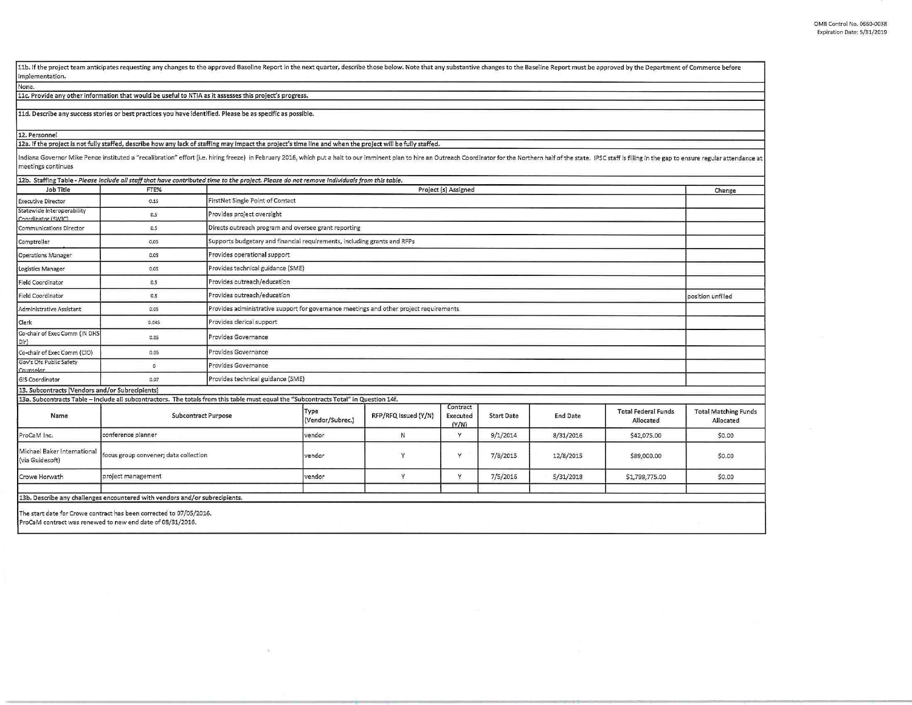11b. If the project team anticipates requesting any changes to the approved Baseline Report in the next quarter, describe those below. Note that any substantive changes to the Baseline Report must be approved by the Depart implementation.

None.

11c. Provide any other information that would be useful to NTIA as it assesses this project's progress.

11d. Describe any success stories or best practices you have identified. Please be as specific as possible.

12. Personnel

12a. If the project is not fully staffed, describe how any lack of staffing may impact the project's time line and when the project will be fully staffed.

3.

Indiana Governor Mike Pence instituted a "recalibration" effort (i.e. hiring freeze) in February 2016, which put a halt to our imminent plan to hire an Outreach Coordinator for the Northern half of the state. IPSC staff is meetings continues

|                                                  | 12b. Staffing Table - Please include all staff that have contributed time to the project. Please do not remove individuals from this table. |                                   |                                                                                        |                      |                               |                   |                 |                                         |                                          |
|--------------------------------------------------|---------------------------------------------------------------------------------------------------------------------------------------------|-----------------------------------|----------------------------------------------------------------------------------------|----------------------|-------------------------------|-------------------|-----------------|-----------------------------------------|------------------------------------------|
| Job Title                                        | FTE%                                                                                                                                        | Project (s) Assigned              |                                                                                        |                      |                               |                   |                 | Change                                  |                                          |
| <b>Executive Director</b>                        | 0.15                                                                                                                                        | FirstNet Single Point of Contact  |                                                                                        |                      |                               |                   |                 |                                         |                                          |
| Statewide Interoperability<br>Coordinator (SWIC) | 0.5                                                                                                                                         | Provides project oversight        |                                                                                        |                      |                               |                   |                 |                                         |                                          |
| <b>Communications Director</b>                   | 0.5                                                                                                                                         |                                   | Directs outreach program and oversee grant reporting                                   |                      |                               |                   |                 |                                         |                                          |
| Comptroller                                      | 0.05                                                                                                                                        |                                   | Supports budgetary and financial requirements, including grants and RFPs               |                      |                               |                   |                 |                                         |                                          |
| <b>Operations Manager</b>                        | 0.05                                                                                                                                        | Provides operational support      |                                                                                        |                      |                               |                   |                 |                                         |                                          |
| Logistics Manager                                | 0.05                                                                                                                                        | Provides technical guidance (SME) |                                                                                        |                      |                               |                   |                 |                                         |                                          |
| <b>Field Coordinator</b>                         | 0.5                                                                                                                                         | Provides outreach/education       |                                                                                        |                      |                               |                   |                 |                                         |                                          |
| <b>Field Coordinator</b>                         | 0.5                                                                                                                                         | Provides outreach/education       |                                                                                        |                      |                               |                   |                 |                                         | position unfilled                        |
| Administrative Assistant                         | 0.05                                                                                                                                        |                                   | Provides administrative support for governance meetings and other project requirements |                      |                               |                   |                 |                                         |                                          |
| Clerk                                            | 0.045                                                                                                                                       | Provides clerical support         |                                                                                        |                      |                               |                   |                 |                                         |                                          |
| Co-chair of Exec Comm (IN DHS<br>Dir)            | 0.05                                                                                                                                        | Provides Governance               |                                                                                        |                      |                               |                   |                 |                                         |                                          |
| Co-chair of Exec Comm (CIO)                      | 0.05                                                                                                                                        | Provides Governance               |                                                                                        |                      |                               |                   |                 |                                         |                                          |
| Gov's Ofc Public Safety<br>Counselor             | $\Omega$                                                                                                                                    | Provides Governance               |                                                                                        |                      |                               |                   |                 |                                         |                                          |
| <b>GIS Coordinator</b>                           | 0.07                                                                                                                                        | Provides technical guidance (SME) |                                                                                        |                      |                               |                   |                 |                                         |                                          |
| 13. Subcontracts (Vendors and/or Subrecipients)  |                                                                                                                                             |                                   |                                                                                        |                      |                               |                   |                 |                                         |                                          |
|                                                  | 13a. Subcontracts Table - Include all subcontractors. The totals from this table must equal the "Subcontracts Total" in Question 14f.       |                                   |                                                                                        |                      |                               |                   |                 |                                         |                                          |
| Name                                             | Subcontract Purpose                                                                                                                         |                                   | Type<br>(Vendor/Subrec.)                                                               | RFP/RFQ Issued (Y/N) | Contract<br>Executed<br>(Y/N) | <b>Start Date</b> | <b>End Date</b> | <b>Total Federal Funds</b><br>Allocated | <b>Total Matching Funds</b><br>Allocated |
| ProCaM Inc.                                      | conference planner                                                                                                                          |                                   | vendor                                                                                 | N                    | Y                             | 9/1/2014          | 8/31/2016       | \$42,075.00                             | \$0.00                                   |
| Michael Baker International<br>(via Guidesoft)   | focus group convener; data collection                                                                                                       |                                   | vendor                                                                                 | Y                    | Y                             | 7/8/2015          | 12/8/2015       | \$89,000.00                             | \$0.00                                   |
| Crowe Horwath                                    | project management                                                                                                                          |                                   | vendor                                                                                 | Y                    | Ÿ                             | 7/5/2016          | 5/31/2018       | \$1,799,775.00                          | \$0.00                                   |
|                                                  |                                                                                                                                             |                                   |                                                                                        |                      |                               |                   |                 |                                         |                                          |
|                                                  | 13b. Describe any challenges encountered with vendors and/or subrecipients.                                                                 |                                   |                                                                                        |                      |                               |                   |                 |                                         |                                          |
|                                                  | The start date for Crowe contract has been corrected to 07/05/2016.<br>ProCaM contract was renewed to new end date of 08/31/2016.           |                                   |                                                                                        |                      |                               |                   |                 |                                         |                                          |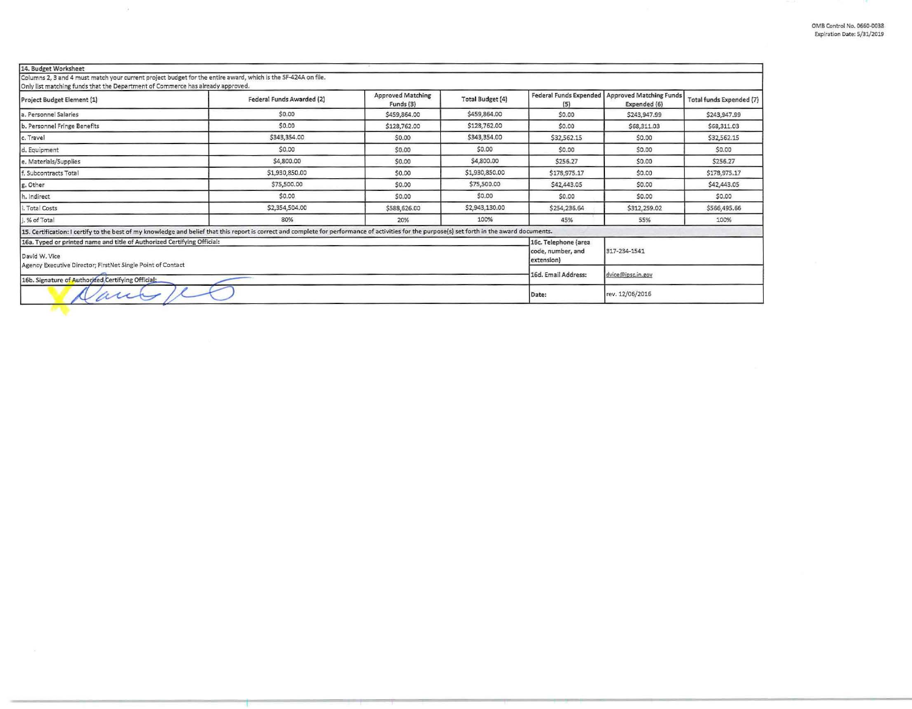|  | 14. Budget Worksheet |  |
|--|----------------------|--|

Columns 2, 3 and 4 must match your current project budget for the entire award, which is the SF-424A on file.

| Only list matching funds that the Department of Commerce has already approved.                                                                          |                                                                                                                                                                                                 |                                       |                         |                                 |                                                                  |                                 |
|---------------------------------------------------------------------------------------------------------------------------------------------------------|-------------------------------------------------------------------------------------------------------------------------------------------------------------------------------------------------|---------------------------------------|-------------------------|---------------------------------|------------------------------------------------------------------|---------------------------------|
| Project Budget Element (1)                                                                                                                              | Federal Funds Awarded (2)                                                                                                                                                                       | <b>Approved Matching</b><br>Funds (3) | <b>Total Budget (4)</b> | (5)                             | Federal Funds Expended   Approved Matching Funds<br>Expended (6) | <b>Total funds Expended (7)</b> |
| a. Personnel Salaries                                                                                                                                   | \$0.00                                                                                                                                                                                          | \$459,864.00                          | \$459,864.00            | \$0.00                          | \$243,947.99                                                     | \$243,947.99                    |
| b. Personnel Fringe Benefits                                                                                                                            | \$0.00                                                                                                                                                                                          | \$128,762.00                          | \$128,762.00            | \$0.00                          | \$68,311.03                                                      | \$68,311.03                     |
| c. Travel                                                                                                                                               | \$343,354.00                                                                                                                                                                                    | \$0.00                                | \$343,354.00            | \$32,562.15                     | \$0.00                                                           | \$32,562.15                     |
| d. Equipment                                                                                                                                            | \$0.00                                                                                                                                                                                          | \$0.00                                | \$0.00                  | \$0.00                          | \$0.00                                                           | \$0.00                          |
| e. Materials/Supplies                                                                                                                                   | \$4,800.00                                                                                                                                                                                      | \$0.00                                | \$4,800.00              | \$256.27                        | \$0.00                                                           | \$256.27                        |
| f. Subcontracts Total                                                                                                                                   | \$1,930,850.00                                                                                                                                                                                  | \$0.00                                | \$1,930,850.00          | \$178,975.17                    | \$0.00                                                           | \$178,975.17                    |
| g. Other                                                                                                                                                | \$75,500.00                                                                                                                                                                                     | \$0.00                                | \$75,500.00             | \$42,443.05                     | \$0.00                                                           | \$42,443.05                     |
| h. Indirect                                                                                                                                             | \$0.00                                                                                                                                                                                          | \$0.00                                | \$0.00                  | \$0.00                          | \$0.00                                                           | \$0.00                          |
| i. Total Costs                                                                                                                                          | \$2,354,504.00                                                                                                                                                                                  | \$588,626.00                          | \$2,943,130.00          | \$254,236.64                    | \$312,259.02                                                     | \$566,495.66                    |
| j. % of Total                                                                                                                                           | 80%                                                                                                                                                                                             | 20%                                   | 100%                    | 45%                             | 55%                                                              | 100%                            |
|                                                                                                                                                         | 15. Certification: I certify to the best of my knowledge and belief that this report is correct and complete for performance of activities for the purpose(s) set forth in the award documents. |                                       |                         |                                 |                                                                  |                                 |
| 16a. Typed or printed name and title of Authorized Certifying Official:<br>David W. Vice<br>Agency Executive Director; FirstNet Single Point of Contact |                                                                                                                                                                                                 |                                       |                         | 16c. Telephone (area            | 317-234-1541                                                     |                                 |
|                                                                                                                                                         |                                                                                                                                                                                                 |                                       |                         | code, number, and<br>extension) |                                                                  |                                 |
|                                                                                                                                                         |                                                                                                                                                                                                 |                                       |                         |                                 | dvice@ipsc.in.gov                                                |                                 |
| 16b. Signature of Authorized Certifying Official:                                                                                                       |                                                                                                                                                                                                 |                                       |                         | 16d. Email Address:             |                                                                  |                                 |
| au                                                                                                                                                      |                                                                                                                                                                                                 |                                       |                         | Date:                           | rev. 12/06/2016                                                  |                                 |